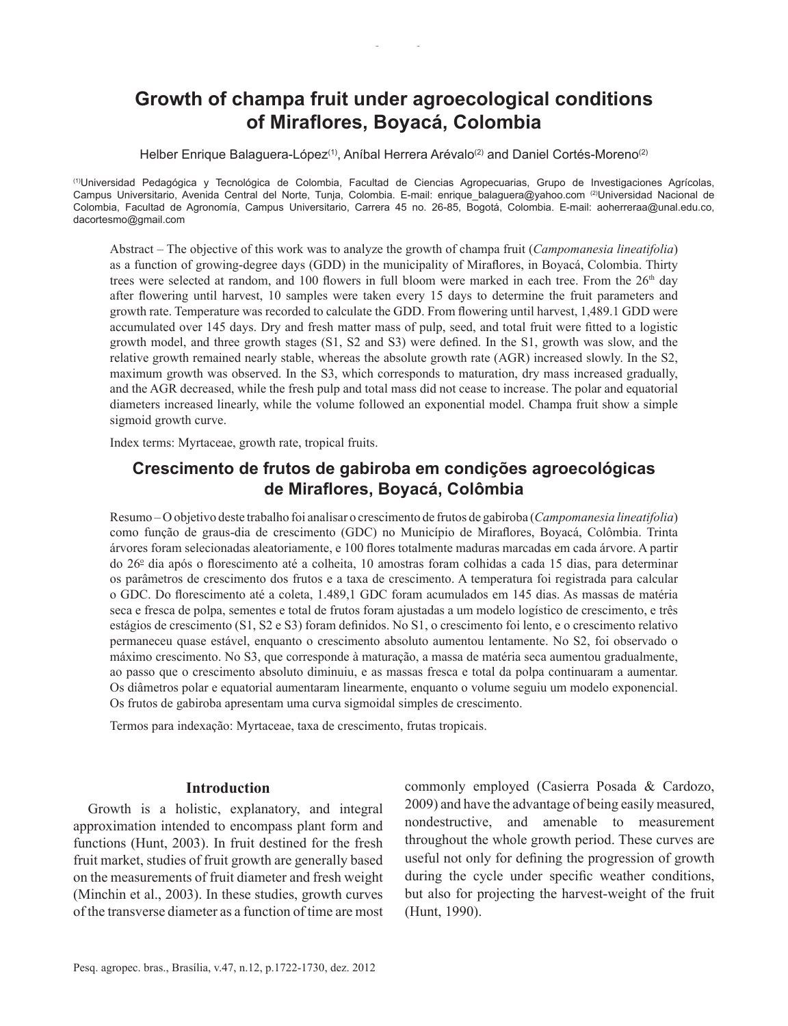# **Growth of champa fruit under agroecological conditions of Miraflores, Boyacá, Colombia**

Helber Enrique Balaguera-López<sup>(1)</sup>, Aníbal Herrera Arévalo<sup>(2)</sup> and Daniel Cortés-Moreno<sup>(2)</sup>

(1)Universidad Pedagógica y Tecnológica de Colombia, Facultad de Ciencias Agropecuarias, Grupo de Investigaciones Agrícolas, Campus Universitario, Avenida Central del Norte, Tunja, Colombia. E-mail: enrique balaguera@yahoo.com <sup>(2)</sup>Universidad Nacional de Colombia, Facultad de Agronomía, Campus Universitario, Carrera 45 no. 26‑85, Bogotá, Colombia. E‑mail: aoherreraa@unal.edu.co, dacortesmo@gmail.com

Abstract – The objective of this work was to analyze the growth of champa fruit (*Campomanesia lineatifolia*) as a function of growing‑degree days (GDD) in the municipality of Miraflores, in Boyacá, Colombia. Thirty trees were selected at random, and 100 flowers in full bloom were marked in each tree. From the  $26<sup>th</sup>$  day after flowering until harvest, 10 samples were taken every 15 days to determine the fruit parameters and growth rate. Temperature was recorded to calculate the GDD. From flowering until harvest, 1,489.1 GDD were accumulated over 145 days. Dry and fresh matter mass of pulp, seed, and total fruit were fitted to a logistic growth model, and three growth stages (S1, S2 and S3) were defined. In the S1, growth was slow, and the relative growth remained nearly stable, whereas the absolute growth rate (AGR) increased slowly. In the S2, maximum growth was observed. In the S3, which corresponds to maturation, dry mass increased gradually, and the AGR decreased, while the fresh pulp and total mass did not cease to increase. The polar and equatorial diameters increased linearly, while the volume followed an exponential model. Champa fruit show a simple sigmoid growth curve.

Index terms: Myrtaceae, growth rate, tropical fruits.

## **Crescimento de frutos de gabiroba em condições agroecológicas de Miraflores, Boyacá, Colômbia**

Resumo – O objetivo deste trabalho foi analisar o crescimento de frutos de gabiroba (*Campomanesia lineatifolia*) como função de graus‑dia de crescimento (GDC) no Município de Miraflores, Boyacá, Colômbia. Trinta árvores foram selecionadas aleatoriamente, e 100 flores totalmente maduras marcadas em cada árvore. A partir do 26<sup>o</sup> dia após o florescimento até a colheita, 10 amostras foram colhidas a cada 15 dias, para determinar os parâmetros de crescimento dos frutos e a taxa de crescimento. A temperatura foi registrada para calcular o GDC. Do florescimento até a coleta, 1.489,1 GDC foram acumulados em 145 dias. As massas de matéria seca e fresca de polpa, sementes e total de frutos foram ajustadas a um modelo logístico de crescimento, e três estágios de crescimento (S1, S2 e S3) foram definidos. No S1, o crescimento foi lento, e o crescimento relativo permaneceu quase estável, enquanto o crescimento absoluto aumentou lentamente. No S2, foi observado o máximo crescimento. No S3, que corresponde à maturação, a massa de matéria seca aumentou gradualmente, ao passo que o crescimento absoluto diminuiu, e as massas fresca e total da polpa continuaram a aumentar. Os diâmetros polar e equatorial aumentaram linearmente, enquanto o volume seguiu um modelo exponencial. Os frutos de gabiroba apresentam uma curva sigmoidal simples de crescimento.

Termos para indexação: Myrtaceae, taxa de crescimento, frutas tropicais.

#### **Introduction**

Growth is a holistic, explanatory, and integral approximation intended to encompass plant form and functions (Hunt, 2003). In fruit destined for the fresh fruit market, studies of fruit growth are generally based on the measurements of fruit diameter and fresh weight (Minchin et al., 2003). In these studies, growth curves of the transverse diameter as a function of time are most commonly employed (Casierra Posada & Cardozo, 2009) and have the advantage of being easily measured, nondestructive, and amenable to measurement throughout the whole growth period. These curves are useful not only for defining the progression of growth during the cycle under specific weather conditions, but also for projecting the harvest-weight of the fruit (Hunt, 1990).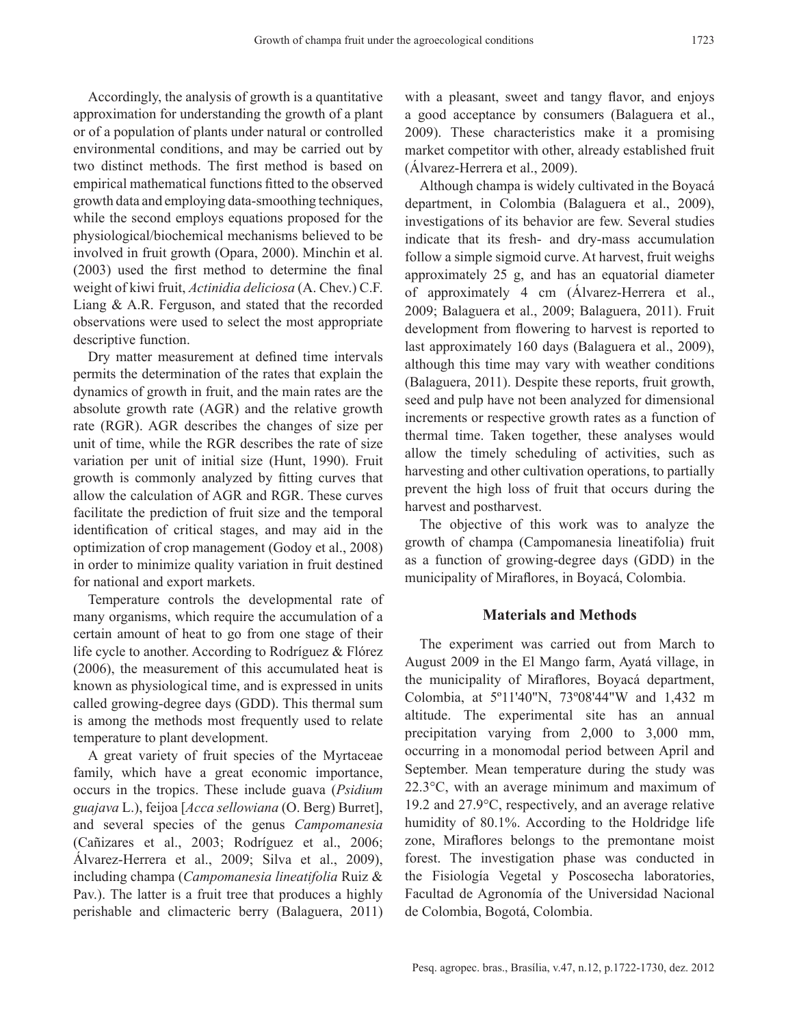Accordingly, the analysis of growth is a quantitative approximation for understanding the growth of a plant or of a population of plants under natural or controlled environmental conditions, and may be carried out by two distinct methods. The first method is based on empirical mathematical functions fitted to the observed growth data and employing data‑smoothing techniques, while the second employs equations proposed for the physiological/biochemical mechanisms believed to be involved in fruit growth (Opara, 2000). Minchin et al. (2003) used the first method to determine the final weight of kiwi fruit, *Actinidia deliciosa* (A. Chev.) C.F. Liang & A.R. Ferguson, and stated that the recorded observations were used to select the most appropriate descriptive function.

Dry matter measurement at defined time intervals permits the determination of the rates that explain the dynamics of growth in fruit, and the main rates are the absolute growth rate (AGR) and the relative growth rate (RGR). AGR describes the changes of size per unit of time, while the RGR describes the rate of size variation per unit of initial size (Hunt, 1990). Fruit growth is commonly analyzed by fitting curves that allow the calculation of AGR and RGR. These curves facilitate the prediction of fruit size and the temporal identification of critical stages, and may aid in the optimization of crop management (Godoy et al., 2008) in order to minimize quality variation in fruit destined for national and export markets.

Temperature controls the developmental rate of many organisms, which require the accumulation of a certain amount of heat to go from one stage of their life cycle to another. According to Rodríguez & Flórez (2006), the measurement of this accumulated heat is known as physiological time, and is expressed in units called growing‑degree days (GDD). This thermal sum is among the methods most frequently used to relate temperature to plant development.

A great variety of fruit species of the Myrtaceae family, which have a great economic importance, occurs in the tropics. These include guava (*Psidium guajava* L.), feijoa [*Acca sellowiana* (O. Berg) Burret], and several species of the genus *Campomanesia*  (Cañizares et al., 2003; Rodríguez et al., 2006; Álvarez‑Herrera et al., 2009; Silva et al., 2009), including champa (*Campomanesia lineatifolia* Ruiz & Pav.). The latter is a fruit tree that produces a highly perishable and climacteric berry (Balaguera, 2011) with a pleasant, sweet and tangy flavor, and enjoys a good acceptance by consumers (Balaguera et al., 2009). These characteristics make it a promising market competitor with other, already established fruit (Álvarez‑Herrera et al., 2009).

Although champa is widely cultivated in the Boyacá department, in Colombia (Balaguera et al., 2009), investigations of its behavior are few. Several studies indicate that its fresh- and dry-mass accumulation follow a simple sigmoid curve. At harvest, fruit weighs approximately 25 g, and has an equatorial diameter of approximately 4 cm (Álvarez-Herrera et al., 2009; Balaguera et al., 2009; Balaguera, 2011). Fruit development from flowering to harvest is reported to last approximately 160 days (Balaguera et al., 2009), although this time may vary with weather conditions (Balaguera, 2011). Despite these reports, fruit growth, seed and pulp have not been analyzed for dimensional increments or respective growth rates as a function of thermal time. Taken together, these analyses would allow the timely scheduling of activities, such as harvesting and other cultivation operations, to partially prevent the high loss of fruit that occurs during the harvest and postharvest.

The objective of this work was to analyze the growth of champa (Campomanesia lineatifolia) fruit as a function of growing‑degree days (GDD) in the municipality of Miraflores, in Boyacá, Colombia.

#### **Materials and Methods**

The experiment was carried out from March to August 2009 in the El Mango farm, Ayatá village, in the municipality of Miraflores, Boyacá department, Colombia, at 5º11'40"N, 73º08'44"W and 1,432 m altitude. The experimental site has an annual precipitation varying from 2,000 to 3,000 mm, occurring in a monomodal period between April and September. Mean temperature during the study was 22.3°C, with an average minimum and maximum of 19.2 and 27.9°C, respectively, and an average relative humidity of 80.1%. According to the Holdridge life zone, Miraflores belongs to the premontane moist forest. The investigation phase was conducted in the Fisiología Vegetal y Poscosecha laboratories, Facultad de Agronomía of the Universidad Nacional de Colombia, Bogotá, Colombia.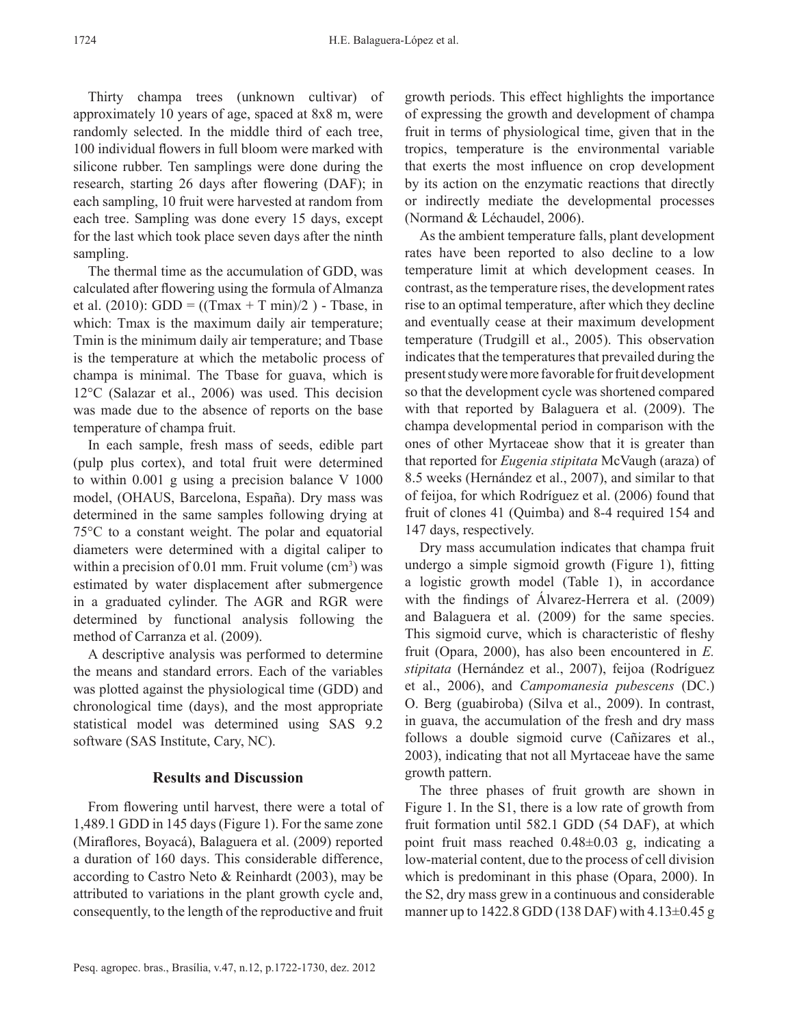Thirty champa trees (unknown cultivar) of approximately 10 years of age, spaced at 8x8 m, were randomly selected. In the middle third of each tree, 100 individual flowers in full bloom were marked with silicone rubber. Ten samplings were done during the research, starting 26 days after flowering (DAF); in each sampling, 10 fruit were harvested at random from each tree. Sampling was done every 15 days, except for the last which took place seven days after the ninth sampling.

The thermal time as the accumulation of GDD, was calculated after flowering using the formula of Almanza et al. (2010): GDD = ((Tmax + T min)/2) - Tbase, in which: Tmax is the maximum daily air temperature; Tmin is the minimum daily air temperature; and Tbase is the temperature at which the metabolic process of champa is minimal. The Tbase for guava, which is 12°C (Salazar et al., 2006) was used. This decision was made due to the absence of reports on the base temperature of champa fruit.

In each sample, fresh mass of seeds, edible part (pulp plus cortex), and total fruit were determined to within 0.001 g using a precision balance V 1000 model, (OHAUS, Barcelona, España). Dry mass was determined in the same samples following drying at 75°C to a constant weight. The polar and equatorial diameters were determined with a digital caliper to within a precision of  $0.01$  mm. Fruit volume  $(cm<sup>3</sup>)$  was estimated by water displacement after submergence in a graduated cylinder. The AGR and RGR were determined by functional analysis following the method of Carranza et al. (2009).

A descriptive analysis was performed to determine the means and standard errors. Each of the variables was plotted against the physiological time (GDD) and chronological time (days), and the most appropriate statistical model was determined using SAS 9.2 software (SAS Institute, Cary, NC).

## **Results and Discussion**

From flowering until harvest, there were a total of 1,489.1 GDD in 145 days (Figure 1). For the same zone (Miraflores, Boyacá), Balaguera et al. (2009) reported a duration of 160 days. This considerable difference, according to Castro Neto & Reinhardt (2003), may be attributed to variations in the plant growth cycle and, consequently, to the length of the reproductive and fruit

growth periods. This effect highlights the importance of expressing the growth and development of champa fruit in terms of physiological time, given that in the tropics, temperature is the environmental variable that exerts the most influence on crop development by its action on the enzymatic reactions that directly or indirectly mediate the developmental processes (Normand & Léchaudel, 2006).

As the ambient temperature falls, plant development rates have been reported to also decline to a low temperature limit at which development ceases. In contrast, as the temperature rises, the development rates rise to an optimal temperature, after which they decline and eventually cease at their maximum development temperature (Trudgill et al., 2005). This observation indicates that the temperatures that prevailed during the present study were more favorable for fruit development so that the development cycle was shortened compared with that reported by Balaguera et al. (2009). The champa developmental period in comparison with the ones of other Myrtaceae show that it is greater than that reported for *Eugenia stipitata* McVaugh (araza) of 8.5 weeks (Hernández et al., 2007), and similar to that of feijoa, for which Rodríguez et al. (2006) found that fruit of clones 41 (Quimba) and 8‑4 required 154 and 147 days, respectively.

Dry mass accumulation indicates that champa fruit undergo a simple sigmoid growth (Figure 1), fitting a logistic growth model (Table 1), in accordance with the findings of Álvarez-Herrera et al. (2009) and Balaguera et al. (2009) for the same species. This sigmoid curve, which is characteristic of fleshy fruit (Opara, 2000), has also been encountered in *E. stipitata* (Hernández et al., 2007), feijoa (Rodríguez et al., 2006), and *Campomanesia pubescens* (DC.) O. Berg (guabiroba) (Silva et al., 2009). In contrast, in guava, the accumulation of the fresh and dry mass follows a double sigmoid curve (Cañizares et al., 2003), indicating that not all Myrtaceae have the same growth pattern.

The three phases of fruit growth are shown in Figure 1. In the S1, there is a low rate of growth from fruit formation until 582.1 GDD (54 DAF), at which point fruit mass reached 0.48±0.03 g, indicating a low‑material content, due to the process of cell division which is predominant in this phase (Opara, 2000). In the S2, dry mass grew in a continuous and considerable manner up to  $1422.8$  GDD (138 DAF) with  $4.13\pm0.45$  g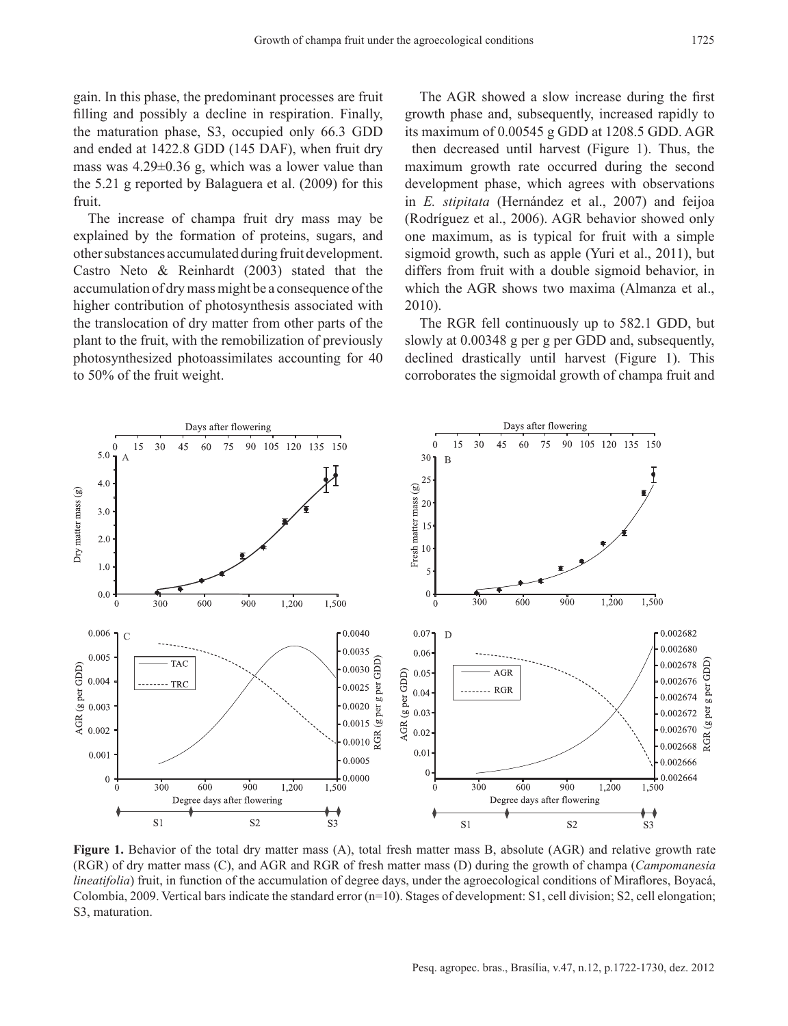gain. In this phase, the predominant processes are fruit filling and possibly a decline in respiration. Finally, the maturation phase, S3, occupied only 66.3 GDD and ended at 1422.8 GDD (145 DAF), when fruit dry mass was 4.29±0.36 g, which was a lower value than the 5.21 g reported by Balaguera et al. (2009) for this fruit.

The increase of champa fruit dry mass may be explained by the formation of proteins, sugars, and other substances accumulated during fruit development. Castro Neto & Reinhardt (2003) stated that the accumulation of dry mass might be a consequence of the higher contribution of photosynthesis associated with the translocation of dry matter from other parts of the plant to the fruit, with the remobilization of previously photosynthesized photoassimilates accounting for 40 to 50% of the fruit weight.

The AGR showed a slow increase during the first growth phase and, subsequently, increased rapidly to its maximum of 0.00545 g GDD at 1208.5 GDD. AGR then decreased until harvest (Figure 1). Thus, the maximum growth rate occurred during the second development phase, which agrees with observations in *E. stipitata* (Hernández et al., 2007) and feijoa (Rodríguez et al., 2006). AGR behavior showed only one maximum, as is typical for fruit with a simple sigmoid growth, such as apple (Yuri et al., 2011), but differs from fruit with a double sigmoid behavior, in which the AGR shows two maxima (Almanza et al., 2010).

The RGR fell continuously up to 582.1 GDD, but slowly at 0.00348 g per g per GDD and, subsequently, declined drastically until harvest (Figure 1). This corroborates the sigmoidal growth of champa fruit and



**Figure 1.** Behavior of the total dry matter mass (A), total fresh matter mass B, absolute (AGR) and relative growth rate (RGR) of dry matter mass (C), and AGR and RGR of fresh matter mass (D) during the growth of champa (*Campomanesia lineatifolia*) fruit, in function of the accumulation of degree days, under the agroecological conditions of Miraflores, Boyacá, Colombia, 2009. Vertical bars indicate the standard error  $(n=10)$ . Stages of development: S1, cell division; S2, cell elongation; S3, maturation.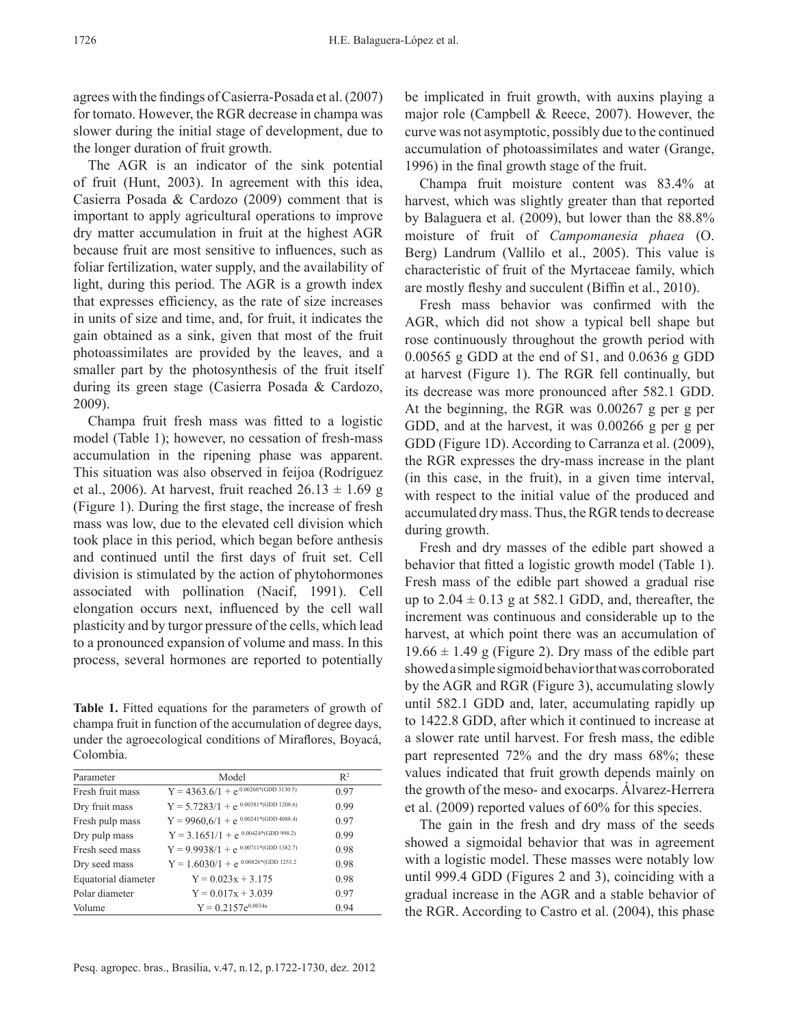agrees with the findings of Casierra‑Posada et al. (2007) for tomato. However, the RGR decrease in champa was slower during the initial stage of development, due to the longer duration of fruit growth.

The AGR is an indicator of the sink potential of fruit (Hunt, 2003). In agreement with this idea, Casierra Posada & Cardozo (2009) comment that is important to apply agricultural operations to improve dry matter accumulation in fruit at the highest AGR because fruit are most sensitive to influences, such as foliar fertilization, water supply, and the availability of light, during this period. The AGR is a growth index that expresses efficiency, as the rate of size increases in units of size and time, and, for fruit, it indicates the gain obtained as a sink, given that most of the fruit photoassimilates are provided by the leaves, and a smaller part by the photosynthesis of the fruit itself during its green stage (Casierra Posada & Cardozo, 2009).

Champa fruit fresh mass was fitted to a logistic model (Table 1); however, no cessation of fresh-mass accumulation in the ripening phase was apparent. This situation was also observed in feijoa (Rodríguez et al., 2006). At harvest, fruit reached  $26.13 \pm 1.69$  g (Figure 1). During the first stage, the increase of fresh mass was low, due to the elevated cell division which took place in this period, which began before anthesis and continued until the first days of fruit set. Cell division is stimulated by the action of phytohormones associated with pollination (Nacif, 1991). Cell elongation occurs next, influenced by the cell wall plasticity and by turgor pressure of the cells, which lead to a pronounced expansion of volume and mass. In this process, several hormones are reported to potentially

**Table 1.** Fitted equations for the parameters of growth of champa fruit in function of the accumulation of degree days, under the agroecological conditions of Miraflores, Boyacá, Colombia.

| Parameter           | Model                                      | $R^2$ |
|---------------------|--------------------------------------------|-------|
| Fresh fruit mass    | $Y = 4363.6/1 + e^{0.00268*(GDD 3130.5)}$  | 0.97  |
| Dry fruit mass      | $Y = 5.7283/1 + e^{0.00381*(GDD 1208.6)}$  | 0.99  |
| Fresh pulp mass     | $Y = 9960, 6/1 + e^{0.00241*(GDD 4088.4)}$ | 0.97  |
| Dry pulp mass       | $Y = 3.1651/1 + e^{0.00424*(GDD 998.2)}$   | 0.99  |
| Fresh seed mass     | $Y = 9.9938/1 + e^{0.00711*(GDD 1382.7)}$  | 0.98  |
| Dry seed mass       | $Y = 1.6030/1 + e^{0.00826*(GDD 1253.2)}$  | 0.98  |
| Equatorial diameter | $Y = 0.023x + 3.175$                       | 0.98  |
| Polar diameter      | $Y = 0.017x + 3.039$                       | 0.97  |
| Volume              | $Y = 0.2157e^{0.0034x}$                    | 0.94  |

be implicated in fruit growth, with auxins playing a major role (Campbell & Reece, 2007). However, the curve was not asymptotic, possibly due to the continued accumulation of photoassimilates and water (Grange, 1996) in the final growth stage of the fruit.

Champa fruit moisture content was 83.4% at harvest, which was slightly greater than that reported by Balaguera et al. (2009), but lower than the 88.8% moisture of fruit of *Campomanesia phaea* (O. Berg) Landrum (Vallilo et al., 2005). This value is characteristic of fruit of the Myrtaceae family, which are mostly fleshy and succulent (Biffin et al., 2010).

Fresh mass behavior was confirmed with the AGR, which did not show a typical bell shape but rose continuously throughout the growth period with 0.00565 g GDD at the end of S1, and 0.0636 g GDD at harvest (Figure 1). The RGR fell continually, but its decrease was more pronounced after 582.1 GDD. At the beginning, the RGR was 0.00267 g per g per GDD, and at the harvest, it was 0.00266 g per g per GDD (Figure 1D). According to Carranza et al. (2009), the RGR expresses the dry‑mass increase in the plant (in this case, in the fruit), in a given time interval, with respect to the initial value of the produced and accumulated dry mass. Thus, the RGR tends to decrease during growth.

Fresh and dry masses of the edible part showed a behavior that fitted a logistic growth model (Table 1). Fresh mass of the edible part showed a gradual rise up to  $2.04 \pm 0.13$  g at 582.1 GDD, and, thereafter, the increment was continuous and considerable up to the harvest, at which point there was an accumulation of  $19.66 \pm 1.49$  g (Figure 2). Dry mass of the edible part showed a simple sigmoid behavior that was corroborated by the AGR and RGR (Figure 3), accumulating slowly until 582.1 GDD and, later, accumulating rapidly up to 1422.8 GDD, after which it continued to increase at a slower rate until harvest. For fresh mass, the edible part represented 72% and the dry mass 68%; these values indicated that fruit growth depends mainly on the growth of the meso‑ and exocarps. Álvarez‑Herrera et al. (2009) reported values of 60% for this species.

The gain in the fresh and dry mass of the seeds showed a sigmoidal behavior that was in agreement with a logistic model. These masses were notably low until 999.4 GDD (Figures 2 and 3), coinciding with a gradual increase in the AGR and a stable behavior of the RGR. According to Castro et al. (2004), this phase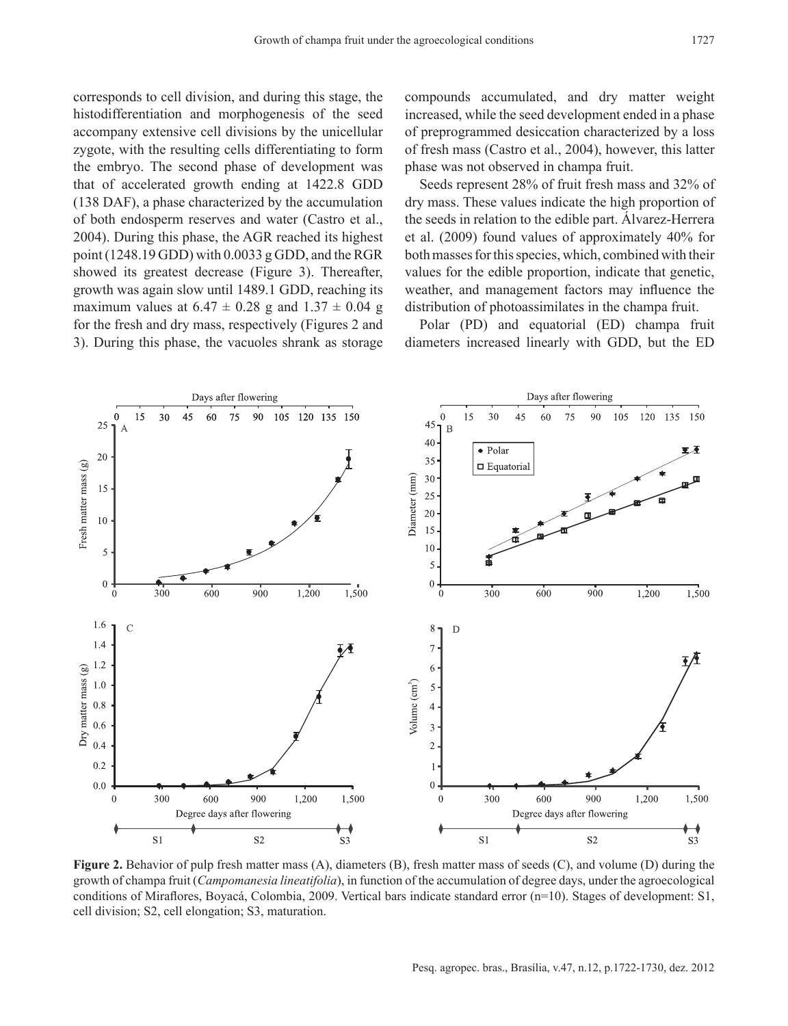corresponds to cell division, and during this stage, the histodifferentiation and morphogenesis of the seed accompany extensive cell divisions by the unicellular zygote, with the resulting cells differentiating to form the embryo. The second phase of development was that of accelerated growth ending at 1422.8 GDD (138 DAF), a phase characterized by the accumulation of both endosperm reserves and water (Castro et al., 2004). During this phase, the AGR reached its highest point (1248.19 GDD) with 0.0033 g GDD, and the RGR showed its greatest decrease (Figure 3). Thereafter, growth was again slow until 1489.1 GDD, reaching its maximum values at  $6.47 \pm 0.28$  g and  $1.37 \pm 0.04$  g for the fresh and dry mass, respectively (Figures 2 and

3). During this phase, the vacuoles shrank as storage

compounds accumulated, and dry matter weight increased, while the seed development ended in a phase of preprogrammed desiccation characterized by a loss of fresh mass (Castro et al., 2004), however, this latter phase was not observed in champa fruit.

Seeds represent 28% of fruit fresh mass and 32% of dry mass. These values indicate the high proportion of the seeds in relation to the edible part. Alvarez-Herrera et al. (2009) found values of approximately 40% for both masses for this species, which, combined with their values for the edible proportion, indicate that genetic, weather, and management factors may influence the distribution of photoassimilates in the champa fruit.

Polar (PD) and equatorial (ED) champa fruit diameters increased linearly with GDD, but the ED



**Figure 2.** Behavior of pulp fresh matter mass (A), diameters (B), fresh matter mass of seeds (C), and volume (D) during the growth of champa fruit (*Campomanesia lineatifolia*), in function of the accumulation of degree days, under the agroecological conditions of Miraflores, Boyacá, Colombia, 2009. Vertical bars indicate standard error (n=10). Stages of development: S1, cell division; S2, cell elongation; S3, maturation.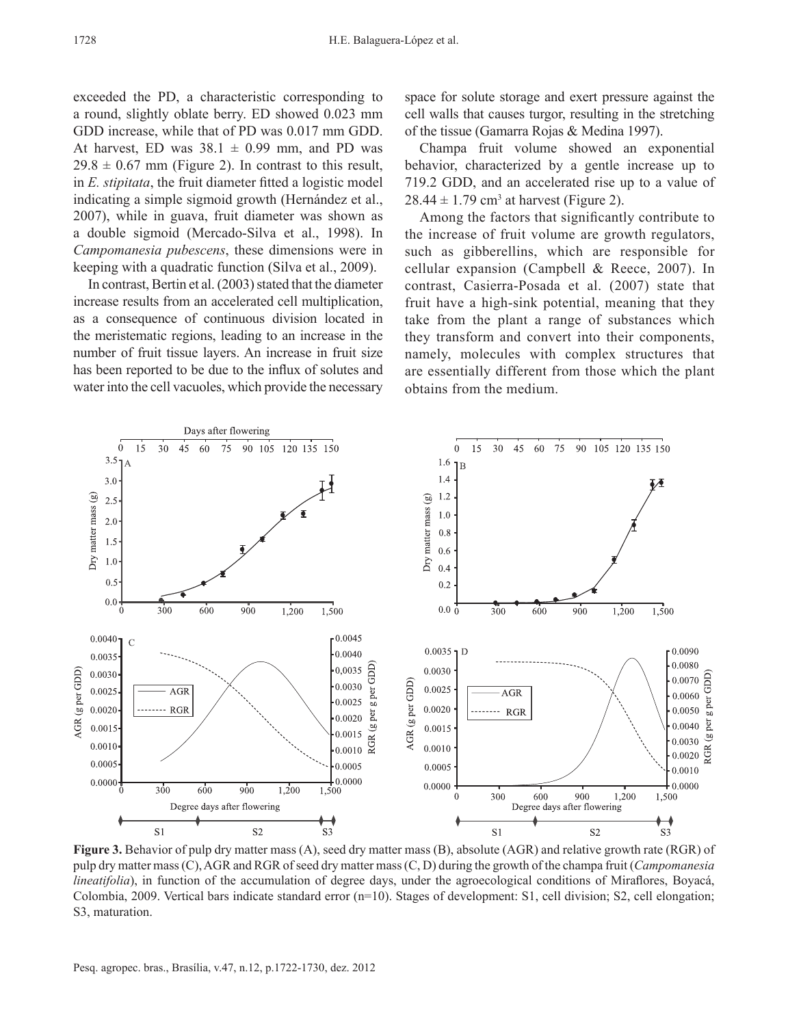exceeded the PD, a characteristic corresponding to a round, slightly oblate berry. ED showed 0.023 mm GDD increase, while that of PD was 0.017 mm GDD. At harvest, ED was  $38.1 \pm 0.99$  mm, and PD was  $29.8 \pm 0.67$  mm (Figure 2). In contrast to this result, in *E. stipitata*, the fruit diameter fitted a logistic model indicating a simple sigmoid growth (Hernández et al., 2007), while in guava, fruit diameter was shown as a double sigmoid (Mercado‑Silva et al., 1998). In *Campomanesia pubescens*, these dimensions were in keeping with a quadratic function (Silva et al., 2009).

In contrast, Bertin et al. (2003) stated that the diameter increase results from an accelerated cell multiplication, as a consequence of continuous division located in the meristematic regions, leading to an increase in the number of fruit tissue layers. An increase in fruit size has been reported to be due to the influx of solutes and water into the cell vacuoles, which provide the necessary space for solute storage and exert pressure against the cell walls that causes turgor, resulting in the stretching of the tissue (Gamarra Rojas & Medina 1997).

Champa fruit volume showed an exponential behavior, characterized by a gentle increase up to 719.2 GDD, and an accelerated rise up to a value of  $28.44 \pm 1.79$  cm<sup>3</sup> at harvest (Figure 2).

Among the factors that significantly contribute to the increase of fruit volume are growth regulators, such as gibberellins, which are responsible for cellular expansion (Campbell & Reece, 2007). In contrast, Casierra‑Posada et al. (2007) state that fruit have a high-sink potential, meaning that they take from the plant a range of substances which they transform and convert into their components, namely, molecules with complex structures that are essentially different from those which the plant obtains from the medium.



**Figure 3.** Behavior of pulp dry matter mass (A), seed dry matter mass (B), absolute (AGR) and relative growth rate (RGR) of pulp dry matter mass (C), AGR and RGR of seed dry matter mass (C, D) during the growth of the champa fruit (*Campomanesia lineatifolia*), in function of the accumulation of degree days, under the agroecological conditions of Miraflores, Boyacá, Colombia, 2009. Vertical bars indicate standard error  $(n=10)$ . Stages of development: S1, cell division; S2, cell elongation; S3, maturation.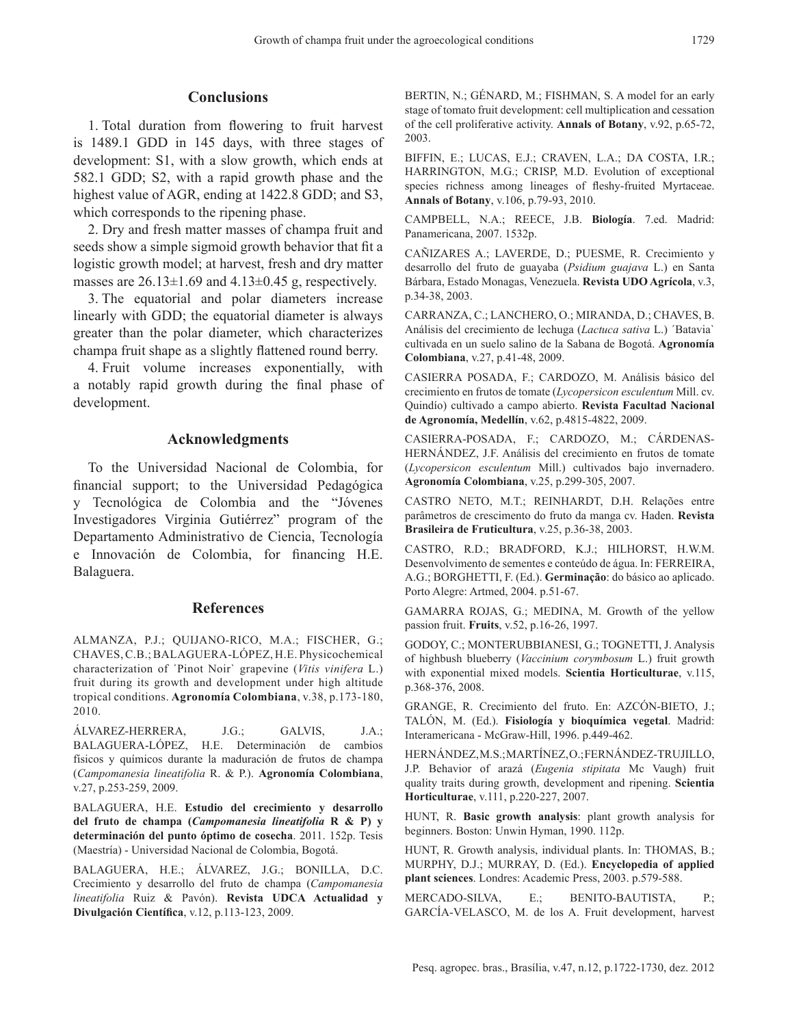### **Conclusions**

1. Total duration from flowering to fruit harvest is 1489.1 GDD in 145 days, with three stages of development: S1, with a slow growth, which ends at 582.1 GDD; S2, with a rapid growth phase and the highest value of AGR, ending at 1422.8 GDD; and S3, which corresponds to the ripening phase.

2. Dry and fresh matter masses of champa fruit and seeds show a simple sigmoid growth behavior that fit a logistic growth model; at harvest, fresh and dry matter masses are  $26.13 \pm 1.69$  and  $4.13 \pm 0.45$  g, respectively.

3. The equatorial and polar diameters increase linearly with GDD; the equatorial diameter is always greater than the polar diameter, which characterizes champa fruit shape as a slightly flattened round berry.

4. Fruit volume increases exponentially, with a notably rapid growth during the final phase of development.

#### **Acknowledgments**

To the Universidad Nacional de Colombia, for financial support; to the Universidad Pedagógica y Tecnológica de Colombia and the "Jóvenes Investigadores Virginia Gutiérrez" program of the Departamento Administrativo de Ciencia, Tecnología e Innovación de Colombia, for financing H.E. Balaguera.

#### **References**

ALMANZA, P.J.; QUIJANO‑RICO, M.A.; FISCHER, G.; CHAVES, C.B.; BALAGUERA‑LÓPEZ, H.E. Physicochemical characterization of ´Pinot Noir` grapevine (*Vitis vinifera* L.) fruit during its growth and development under high altitude tropical conditions. **Agronomía Colombiana**, v.38, p.173‑180, 2010.

ÁLVAREZ‑HERRERA, J.G.; GALVIS, J.A.; BALAGUERA‑LÓPEZ, H.E. Determinación de cambios físicos y químicos durante la maduración de frutos de champa (*Campomanesia lineatifolia* R. & P.). **Agronomía Colombiana**, v.27, p.253‑259, 2009.

BALAGUERA, H.E. **Estudio del crecimiento y desarrollo del fruto de champa (***Campomanesia lineatifolia* **R & P) y determinación del punto óptimo de cosecha**. 2011. 152p. Tesis (Maestría) ‑ Universidad Nacional de Colombia, Bogotá.

BALAGUERA, H.E.; ÁLVAREZ, J.G.; BONILLA, D.C. Crecimiento y desarrollo del fruto de champa (*Campomanesia lineatifolia* Ruiz & Pavón). **Revista UDCA Actualidad y Divulgación Científica**, v.12, p.113‑123, 2009.

BERTIN, N.; GÉNARD, M.; FISHMAN, S. A model for an early stage of tomato fruit development: cell multiplication and cessation of the cell proliferative activity. **Annals of Botany**, v.92, p.65‑72, 2003.

BIFFIN, E.; LUCAS, E.J.; CRAVEN, L.A.; DA COSTA, I.R.; HARRINGTON, M.G.; CRISP, M.D. Evolution of exceptional species richness among lineages of fleshy‑fruited Myrtaceae. **Annals of Botany**, v.106, p.79‑93, 2010.

CAMPBELL, N.A.; REECE, J.B. **Biología**. 7.ed. Madrid: Panamericana, 2007. 1532p.

CAÑIZARES A.; LAVERDE, D.; PUESME, R. Crecimiento y desarrollo del fruto de guayaba (*Psidium guajava* L.) en Santa Bárbara, Estado Monagas, Venezuela. **Revista UDO Agrícola**, v.3, p.34‑38, 2003.

CARRANZA, C.; LANCHERO, O.; MIRANDA, D.; CHAVES, B. Análisis del crecimiento de lechuga (*Lactuca sativa* L.) ´Batavia` cultivada en un suelo salino de la Sabana de Bogotá. **Agronomía Colombiana**, v.27, p.41‑48, 2009.

CASIERRA POSADA, F.; CARDOZO, M. Análisis básico del crecimiento en frutos de tomate (*Lycopersicon esculentum* Mill. cv. Quindío) cultivado a campo abierto. **Revista Facultad Nacional de Agronomía, Medellín**, v.62, p.4815‑4822, 2009.

CASIERRA‑POSADA, F.; CARDOZO, M.; CÁRDENAS‑ HERNÁNDEZ, J.F. Análisis del crecimiento en frutos de tomate (*Lycopersicon esculentum* Mill.) cultivados bajo invernadero. **Agronomía Colombiana**, v.25, p.299‑305, 2007.

CASTRO NETO, M.T.; REINHARDT, D.H. Relações entre parâmetros de crescimento do fruto da manga cv. Haden. **Revista Brasileira de Fruticultura**, v.25, p.36‑38, 2003.

CASTRO, R.D.; BRADFORD, K.J.; HILHORST, H.W.M. Desenvolvimento de sementes e conteúdo de água. In: FERREIRA, A.G.; BORGHETTI, F. (Ed.). **Germinação**: do básico ao aplicado. Porto Alegre: Artmed, 2004. p.51‑67.

GAMARRA ROJAS, G.; MEDINA, M. Growth of the yellow passion fruit. **Fruits**, v.52, p.16‑26, 1997.

GODOY, C.; MONTERUBBIANESI, G.; TOGNETTI, J. Analysis of highbush blueberry (*Vaccinium corymbosum* L.) fruit growth with exponential mixed models. **Scientia Horticulturae**, v.115, p.368‑376, 2008.

GRANGE, R. Crecimiento del fruto. En: AZCÓN‑BIETO, J.; TALÓN, M. (Ed.). **Fisiología y bioquímica vegetal**. Madrid: Interamericana ‑ McGraw‑Hill, 1996. p.449‑462.

HERNÁNDEZ, M.S.; MARTÍNEZ, O.; FERNÁNDEZ‑TRUJILLO, J.P. Behavior of arazá (*Eugenia stipitata* Mc Vaugh) fruit quality traits during growth, development and ripening. **Scientia Horticulturae**, v.111, p.220‑227, 2007.

HUNT, R. **Basic growth analysis**: plant growth analysis for beginners. Boston: Unwin Hyman, 1990. 112p.

HUNT, R. Growth analysis, individual plants. In: THOMAS, B.; MURPHY, D.J.; MURRAY, D. (Ed.). **Encyclopedia of applied plant sciences**. Londres: Academic Press, 2003. p.579‑588.

MERCADO‑SILVA, E.; BENITO‑BAUTISTA, P.; GARCÍA‑VELASCO, M. de los A. Fruit development, harvest